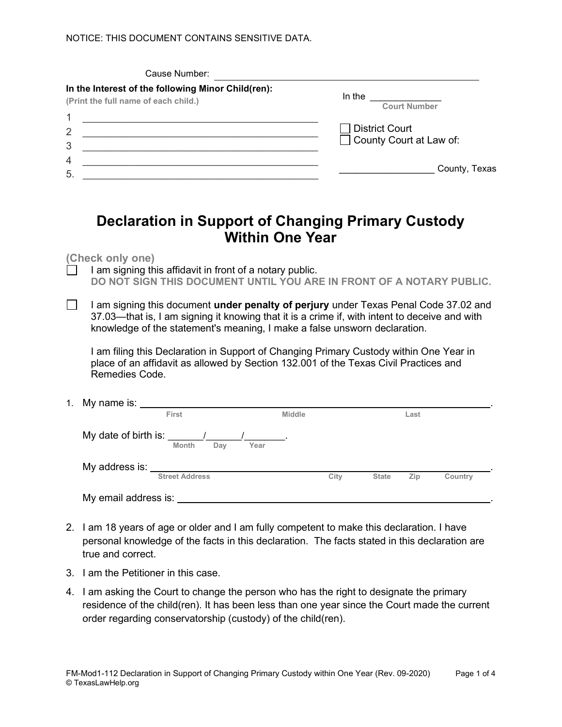| Cause Number:                                                                              |                                                         |
|--------------------------------------------------------------------------------------------|---------------------------------------------------------|
| In the Interest of the following Minor Child(ren):<br>(Print the full name of each child.) | In the<br><b>Court Number</b>                           |
| 1<br>$\overline{2}$<br>3                                                                   | <b>District Court</b><br>$\Box$ County Court at Law of: |
| $\overline{4}$<br>5.                                                                       | County, Texas                                           |

## Declaration in Support of Changing Primary Custody Within One Year

(Check only one)

| I am signing this affidavit in front of a notary public.             |  |
|----------------------------------------------------------------------|--|
| DO NOT SIGN THIS DOCUMENT UNTIL YOU ARE IN FRONT OF A NOTARY PUBLIC. |  |

 $\Box$ I am signing this document under penalty of perjury under Texas Penal Code 37.02 and 37.03—that is, I am signing it knowing that it is a crime if, with intent to deceive and with knowledge of the statement's meaning, I make a false unsworn declaration.

I am filing this Declaration in Support of Changing Primary Custody within One Year in place of an affidavit as allowed by Section 132.001 of the Texas Civil Practices and Remedies Code.

| 1. | My name is:          |                       |      |               |      |              |      |         |  |
|----|----------------------|-----------------------|------|---------------|------|--------------|------|---------|--|
|    |                      | First                 |      | <b>Middle</b> |      |              | Last |         |  |
|    | My date of birth is: | <b>Month</b><br>Day   | Year |               |      |              |      |         |  |
|    | My address is:       | <b>Street Address</b> |      |               | City | <b>State</b> | Zip  | Country |  |
|    | My email address is: |                       |      |               |      |              |      |         |  |

- 2. I am 18 years of age or older and I am fully competent to make this declaration. I have personal knowledge of the facts in this declaration. The facts stated in this declaration are true and correct.
- 3. I am the Petitioner in this case.
- 4. I am asking the Court to change the person who has the right to designate the primary residence of the child(ren). It has been less than one year since the Court made the current order regarding conservatorship (custody) of the child(ren).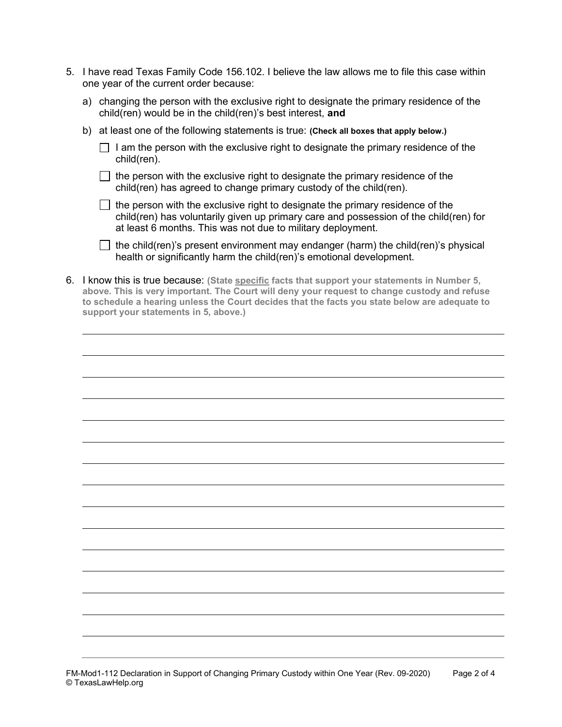- 5. I have read Texas Family Code 156.102. I believe the law allows me to file this case within one year of the current order because:
	- a) changing the person with the exclusive right to designate the primary residence of the child(ren) would be in the child(ren)'s best interest, and
	- b) at least one of the following statements is true: (Check all boxes that apply below.)
		- $\Box$  I am the person with the exclusive right to designate the primary residence of the child(ren).
		- $\Box$  the person with the exclusive right to designate the primary residence of the child(ren) has agreed to change primary custody of the child(ren).
		- $\Box$  the person with the exclusive right to designate the primary residence of the child(ren) has voluntarily given up primary care and possession of the child(ren) for at least 6 months. This was not due to military deployment.
		- $\Box$  the child(ren)'s present environment may endanger (harm) the child(ren)'s physical health or significantly harm the child(ren)'s emotional development.
- 6. I know this is true because: (State specific facts that support your statements in Number 5, above. This is very important. The Court will deny your request to change custody and refuse to schedule a hearing unless the Court decides that the facts you state below are adequate to support your statements in 5, above.)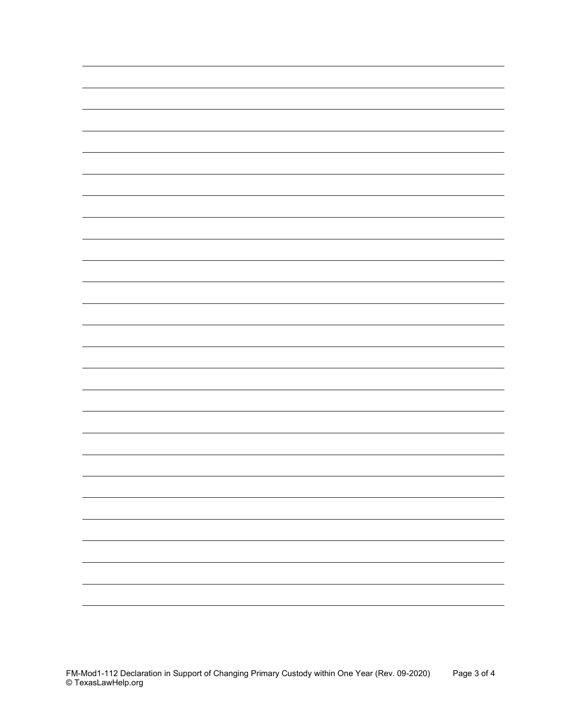